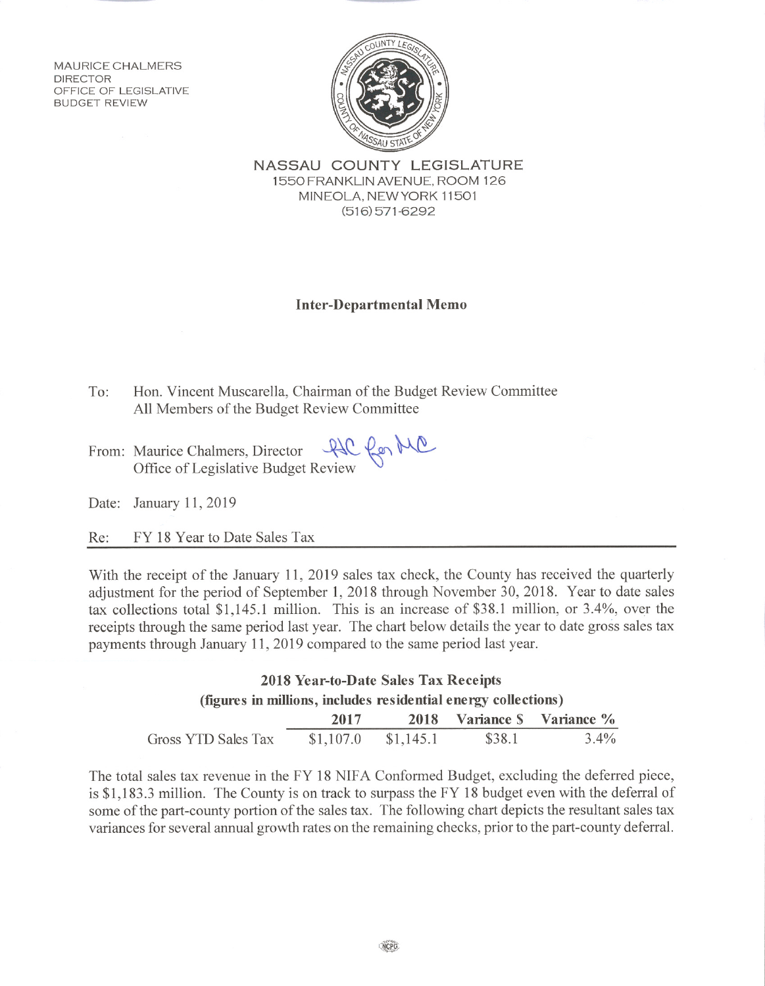**MAURICE CHALMERS** DIRECTOR OFFICE OF LEGISLATIVE **BUDGET REVIEW** 



NASSAU COUNTY LEGISLATURE 1550 FRANKLIN AVENUE, ROOM 126 MINEOLA, NEW YORK 11501  $(516)$  571-6292

## **Inter-Departmental Memo**

- To: Hon. Vincent Muscarella, Chairman of the Budget Review Committee All Members of the Budget Review Committee
- From: Maurice Chalmers, Director QQ Con MC<br>Office of Legislative Budget Review
- Date: January 11, 2019

Re: FY 18 Year to Date Sales Tax

With the receipt of the January 11, 2019 sales tax check, the County has received the quarterly adjustment for the period of September 1, 2018 through November 30, 2018. Year to date sales tax collections total \$1,145.1 million. This is an increase of \$38.1 million, or 3.4%, over the receipts through the same period last year. The chart below details the year to date gross sales tax payments through January 11, 2019 compared to the same period last year.

## 2018 Year-to-Date Sales Tax Receipts (figures in millions, includes residential energy collections) **Variance S** Variance % 2017 2018 \$38.1  $3.4%$ Gross YTD Sales Tax  $$1,107.0$  $$1,145.1$

The total sales tax revenue in the FY 18 NIFA Conformed Budget, excluding the deferred piece, is \$1,183.3 million. The County is on track to surpass the FY 18 budget even with the deferral of some of the part-county portion of the sales tax. The following chart depicts the resultant sales tax variances for several annual growth rates on the remaining checks, prior to the part-county deferral.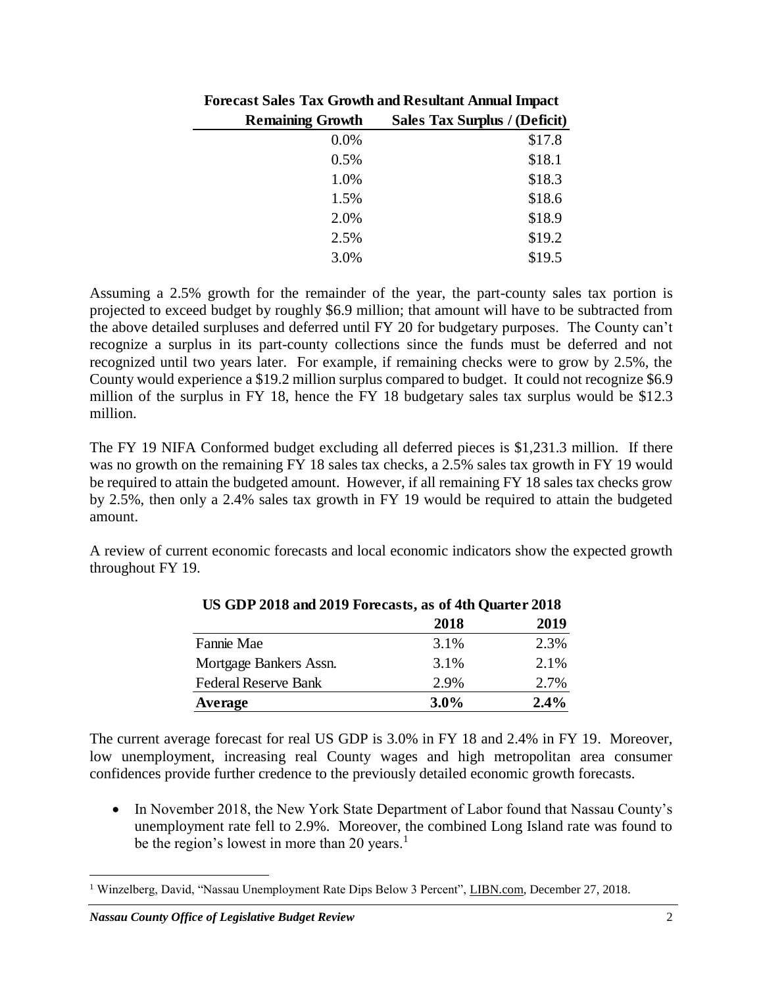| <b>Forecast Sales Tax Growth and Resultant Annual Impact</b> |                                      |  |
|--------------------------------------------------------------|--------------------------------------|--|
| <b>Remaining Growth</b>                                      | <b>Sales Tax Surplus / (Deficit)</b> |  |
| 0.0%                                                         | \$17.8                               |  |
| 0.5%                                                         | \$18.1                               |  |
| 1.0%                                                         | \$18.3                               |  |
| 1.5%                                                         | \$18.6                               |  |
| 2.0%                                                         | \$18.9                               |  |
| 2.5%                                                         | \$19.2                               |  |
| 3.0%                                                         | \$19.5                               |  |

Assuming a 2.5% growth for the remainder of the year, the part-county sales tax portion is projected to exceed budget by roughly \$6.9 million; that amount will have to be subtracted from the above detailed surpluses and deferred until FY 20 for budgetary purposes. The County can't recognize a surplus in its part-county collections since the funds must be deferred and not recognized until two years later. For example, if remaining checks were to grow by 2.5%, the County would experience a \$19.2 million surplus compared to budget. It could not recognize \$6.9 million of the surplus in FY 18, hence the FY 18 budgetary sales tax surplus would be \$12.3 million.

The FY 19 NIFA Conformed budget excluding all deferred pieces is \$1,231.3 million. If there was no growth on the remaining FY 18 sales tax checks, a 2.5% sales tax growth in FY 19 would be required to attain the budgeted amount. However, if all remaining FY 18 sales tax checks grow by 2.5%, then only a 2.4% sales tax growth in FY 19 would be required to attain the budgeted amount.

A review of current economic forecasts and local economic indicators show the expected growth throughout FY 19.

|                             | 2018    | 2019 |  |
|-----------------------------|---------|------|--|
| Fannie Mae                  | 3.1%    | 2.3% |  |
| Mortgage Bankers Assn.      | 3.1%    | 2.1% |  |
| <b>Federal Reserve Bank</b> | 2.9%    | 2.7% |  |
| Average                     | $3.0\%$ | 2.4% |  |

**US GDP 2018 and 2019 Forecasts, as of 4th Quarter 2018**

The current average forecast for real US GDP is 3.0% in FY 18 and 2.4% in FY 19. Moreover, low unemployment, increasing real County wages and high metropolitan area consumer confidences provide further credence to the previously detailed economic growth forecasts.

• In November 2018, the New York State Department of Labor found that Nassau County's unemployment rate fell to 2.9%. Moreover, the combined Long Island rate was found to be the region's lowest in more than 20 years.<sup>1</sup>

 $\overline{a}$ <sup>1</sup> Winzelberg, David, "Nassau Unemployment Rate Dips Below 3 Percent", LIBN.com, December 27, 2018.